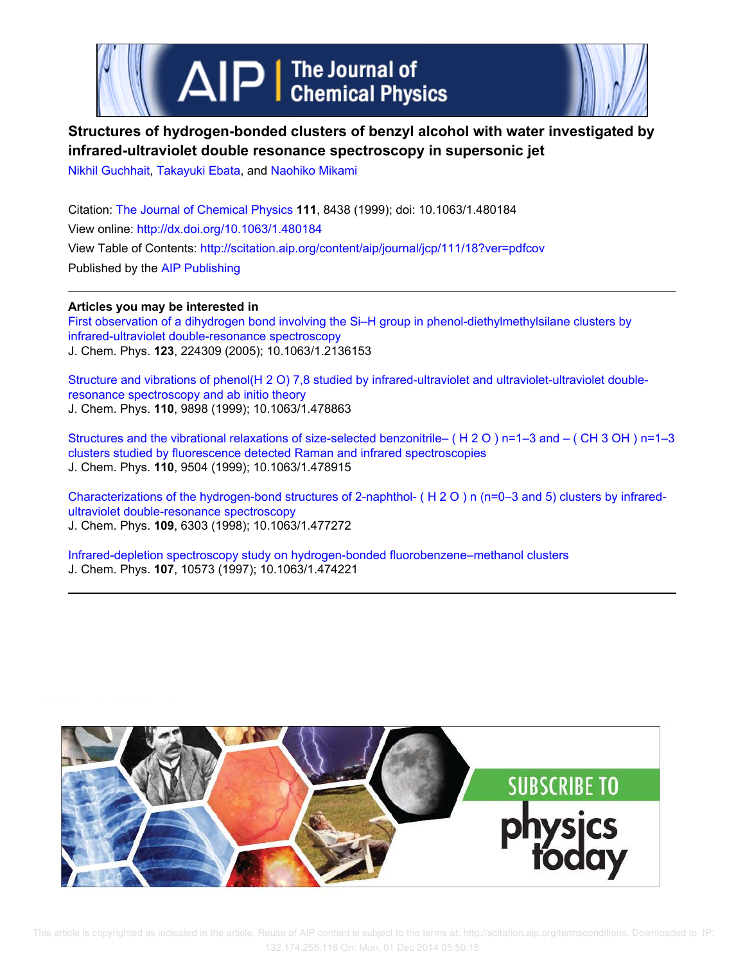

# **Structures of hydrogen-bonded clusters of benzyl alcohol with water investigated by infrared-ultraviolet double resonance spectroscopy in supersonic jet**

Nikhil Guchhait, Takayuki Ebata, and Naohiko Mikami

Citation: The Journal of Chemical Physics **111**, 8438 (1999); doi: 10.1063/1.480184 View online: http://dx.doi.org/10.1063/1.480184 View Table of Contents: http://scitation.aip.org/content/aip/journal/jcp/111/18?ver=pdfcov Published by the AIP Publishing

**Articles you may be interested in** First observation of a dihydrogen bond involving the Si–H group in phenol-diethylmethylsilane clusters by infrared-ultraviolet double-resonance spectroscopy J. Chem. Phys. **123**, 224309 (2005); 10.1063/1.2136153

Structure and vibrations of phenol(H 2 O) 7,8 studied by infrared-ultraviolet and ultraviolet-ultraviolet doubleresonance spectroscopy and ab initio theory J. Chem. Phys. **110**, 9898 (1999); 10.1063/1.478863

Structures and the vibrational relaxations of size-selected benzonitrile– ( H 2 O ) n=1–3 and – ( CH 3 OH ) n=1–3 clusters studied by fluorescence detected Raman and infrared spectroscopies J. Chem. Phys. **110**, 9504 (1999); 10.1063/1.478915

Characterizations of the hydrogen-bond structures of 2-naphthol- ( H 2 O ) n (n=0–3 and 5) clusters by infraredultraviolet double-resonance spectroscopy J. Chem. Phys. **109**, 6303 (1998); 10.1063/1.477272

Infrared-depletion spectroscopy study on hydrogen-bonded fluorobenzene–methanol clusters J. Chem. Phys. **107**, 10573 (1997); 10.1063/1.474221

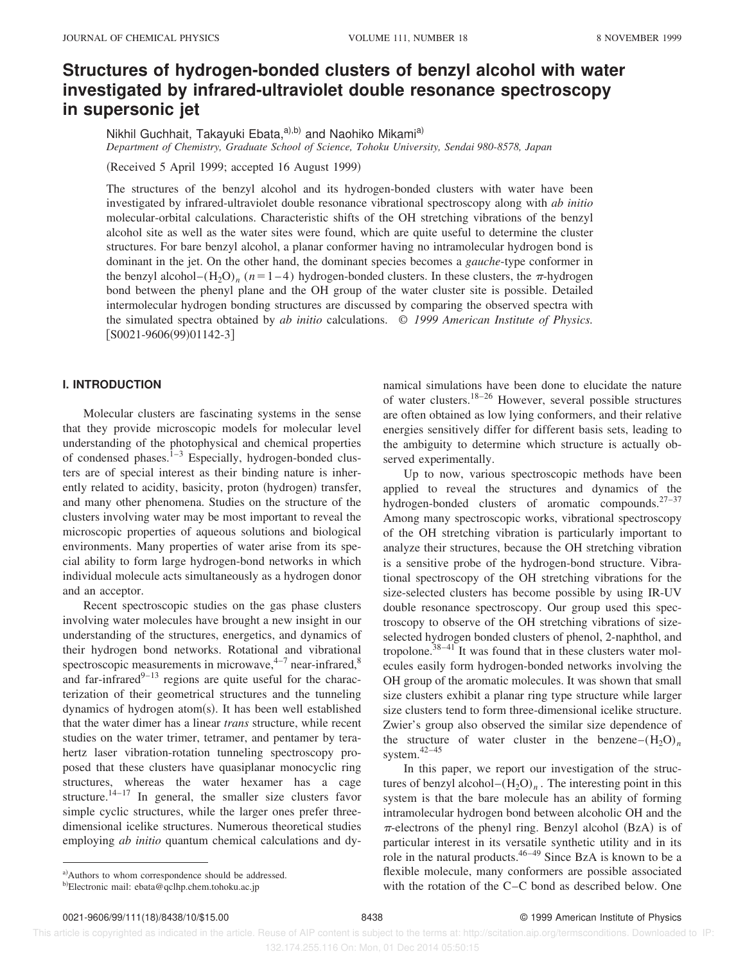## **Structures of hydrogen-bonded clusters of benzyl alcohol with water investigated by infrared-ultraviolet double resonance spectroscopy in supersonic jet**

Nikhil Guchhait, Takayuki Ebata,<sup>a),b)</sup> and Naohiko Mikami<sup>a)</sup> *Department of Chemistry, Graduate School of Science, Tohoku University, Sendai 980-8578, Japan*

(Received 5 April 1999; accepted 16 August 1999)

The structures of the benzyl alcohol and its hydrogen-bonded clusters with water have been investigated by infrared-ultraviolet double resonance vibrational spectroscopy along with *ab initio* molecular-orbital calculations. Characteristic shifts of the OH stretching vibrations of the benzyl alcohol site as well as the water sites were found, which are quite useful to determine the cluster structures. For bare benzyl alcohol, a planar conformer having no intramolecular hydrogen bond is dominant in the jet. On the other hand, the dominant species becomes a *gauche*-type conformer in the benzyl alcohol– $(H_2O)_n$  ( $n=1-4$ ) hydrogen-bonded clusters. In these clusters, the  $\pi$ -hydrogen bond between the phenyl plane and the OH group of the water cluster site is possible. Detailed intermolecular hydrogen bonding structures are discussed by comparing the observed spectra with the simulated spectra obtained by *ab initio* calculations. © *1999 American Institute of Physics.*  $[$ S0021-9606(99)01142-3]

## **I. INTRODUCTION**

Molecular clusters are fascinating systems in the sense that they provide microscopic models for molecular level understanding of the photophysical and chemical properties of condensed phases. $1-3$  Especially, hydrogen-bonded clusters are of special interest as their binding nature is inherently related to acidity, basicity, proton (hydrogen) transfer, and many other phenomena. Studies on the structure of the clusters involving water may be most important to reveal the microscopic properties of aqueous solutions and biological environments. Many properties of water arise from its special ability to form large hydrogen-bond networks in which individual molecule acts simultaneously as a hydrogen donor and an acceptor.

Recent spectroscopic studies on the gas phase clusters involving water molecules have brought a new insight in our understanding of the structures, energetics, and dynamics of their hydrogen bond networks. Rotational and vibrational spectroscopic measurements in microwave, $4-7$  near-infrared, $8$ and far-infrared $^{9-13}$  regions are quite useful for the characterization of their geometrical structures and the tunneling dynamics of hydrogen atom $(s)$ . It has been well established that the water dimer has a linear *trans* structure, while recent studies on the water trimer, tetramer, and pentamer by terahertz laser vibration-rotation tunneling spectroscopy proposed that these clusters have quasiplanar monocyclic ring structures, whereas the water hexamer has a cage structure.<sup> $14-17$ </sup> In general, the smaller size clusters favor simple cyclic structures, while the larger ones prefer threedimensional icelike structures. Numerous theoretical studies employing *ab initio* quantum chemical calculations and dynamical simulations have been done to elucidate the nature of water clusters.18–26 However, several possible structures are often obtained as low lying conformers, and their relative energies sensitively differ for different basis sets, leading to the ambiguity to determine which structure is actually observed experimentally.

Up to now, various spectroscopic methods have been applied to reveal the structures and dynamics of the hydrogen-bonded clusters of aromatic compounds.27–37 Among many spectroscopic works, vibrational spectroscopy of the OH stretching vibration is particularly important to analyze their structures, because the OH stretching vibration is a sensitive probe of the hydrogen-bond structure. Vibrational spectroscopy of the OH stretching vibrations for the size-selected clusters has become possible by using IR-UV double resonance spectroscopy. Our group used this spectroscopy to observe of the OH stretching vibrations of sizeselected hydrogen bonded clusters of phenol, 2-naphthol, and tropolone. $38-41$  It was found that in these clusters water molecules easily form hydrogen-bonded networks involving the OH group of the aromatic molecules. It was shown that small size clusters exhibit a planar ring type structure while larger size clusters tend to form three-dimensional icelike structure. Zwier's group also observed the similar size dependence of the structure of water cluster in the benzene– $(H_2O)_n$ system.42–45

In this paper, we report our investigation of the structures of benzyl alcohol $-(H_2O)_n$ . The interesting point in this system is that the bare molecule has an ability of forming intramolecular hydrogen bond between alcoholic OH and the  $\pi$ -electrons of the phenyl ring. Benzyl alcohol (BzA) is of particular interest in its versatile synthetic utility and in its role in the natural products. $46-49$  Since BzA is known to be a flexible molecule, many conformers are possible associated with the rotation of the C–C bond as described below. One

 This article is copyrighted as indicated in the article. Reuse of AIP content is subject to the terms at: http://scitation.aip.org/termsconditions. Downloaded to IP: 132.174.255.116 On: Mon, 01 Dec 2014 05:50:15

b)Electronic mail: ebata@qclhp.chem.tohoku.ac.jp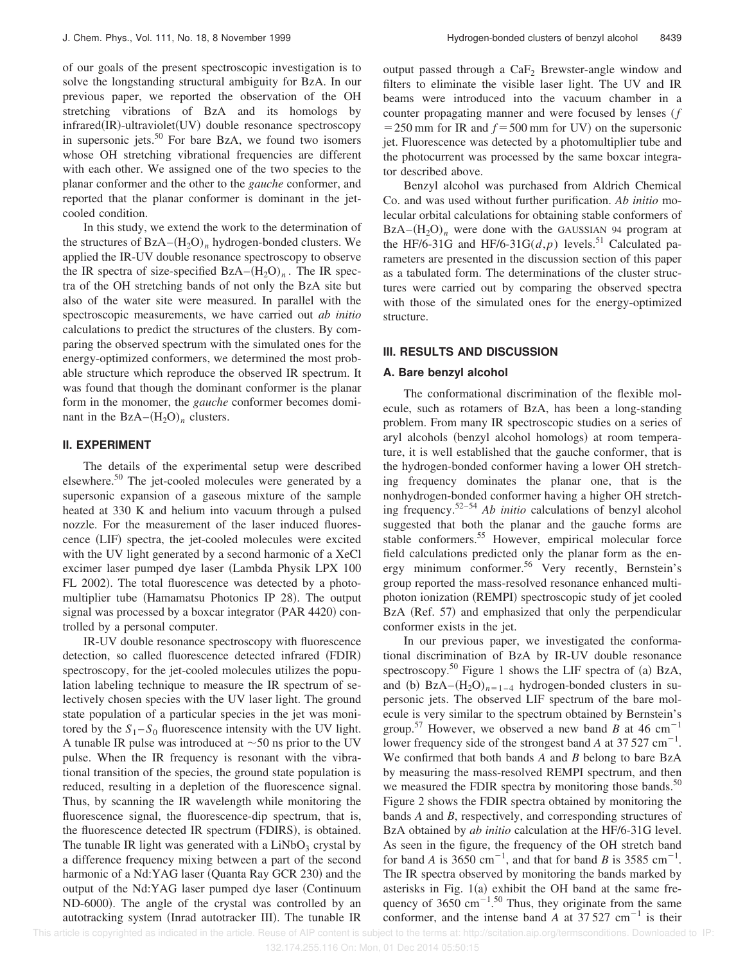of our goals of the present spectroscopic investigation is to solve the longstanding structural ambiguity for BzA. In our previous paper, we reported the observation of the OH stretching vibrations of BzA and its homologs by  $infrared(IR)$ -ultraviolet $(UV)$  double resonance spectroscopy in supersonic jets. $50$  For bare BzA, we found two isomers whose OH stretching vibrational frequencies are different with each other. We assigned one of the two species to the planar conformer and the other to the *gauche* conformer, and reported that the planar conformer is dominant in the jetcooled condition.

In this study, we extend the work to the determination of the structures of  $BzA-(H_2O)<sub>n</sub>$  hydrogen-bonded clusters. We applied the IR-UV double resonance spectroscopy to observe the IR spectra of size-specified  $BzA-(H_2O)_n$ . The IR spectra of the OH stretching bands of not only the BzA site but also of the water site were measured. In parallel with the spectroscopic measurements, we have carried out *ab initio* calculations to predict the structures of the clusters. By comparing the observed spectrum with the simulated ones for the energy-optimized conformers, we determined the most probable structure which reproduce the observed IR spectrum. It was found that though the dominant conformer is the planar form in the monomer, the *gauche* conformer becomes dominant in the  $BzA-(H_2O)_n$  clusters.

## **II. EXPERIMENT**

The details of the experimental setup were described elsewhere.<sup>50</sup> The jet-cooled molecules were generated by a supersonic expansion of a gaseous mixture of the sample heated at 330 K and helium into vacuum through a pulsed nozzle. For the measurement of the laser induced fluorescence (LIF) spectra, the jet-cooled molecules were excited with the UV light generated by a second harmonic of a XeCl excimer laser pumped dye laser (Lambda Physik LPX 100 FL 2002). The total fluorescence was detected by a photomultiplier tube (Hamamatsu Photonics IP 28). The output signal was processed by a boxcar integrator  $(PAR 4420)$  controlled by a personal computer.

IR-UV double resonance spectroscopy with fluorescence detection, so called fluorescence detected infrared (FDIR) spectroscopy, for the jet-cooled molecules utilizes the population labeling technique to measure the IR spectrum of selectively chosen species with the UV laser light. The ground state population of a particular species in the jet was monitored by the  $S_1 - S_0$  fluorescence intensity with the UV light. A tunable IR pulse was introduced at  $\sim$  50 ns prior to the UV pulse. When the IR frequency is resonant with the vibrational transition of the species, the ground state population is reduced, resulting in a depletion of the fluorescence signal. Thus, by scanning the IR wavelength while monitoring the fluorescence signal, the fluorescence-dip spectrum, that is, the fluorescence detected IR spectrum (FDIRS), is obtained. The tunable IR light was generated with a  $LiNbO<sub>3</sub>$  crystal by a difference frequency mixing between a part of the second harmonic of a Nd:YAG laser (Quanta Ray GCR 230) and the output of the Nd:YAG laser pumped dye laser (Continuum ND-6000). The angle of the crystal was controlled by an autotracking system (Inrad autotracker III). The tunable IR output passed through a CaF<sub>2</sub> Brewster-angle window and filters to eliminate the visible laser light. The UV and IR beams were introduced into the vacuum chamber in a counter propagating manner and were focused by lenses (*f*  $=$  250 mm for IR and  $f = 500$  mm for UV) on the supersonic jet. Fluorescence was detected by a photomultiplier tube and the photocurrent was processed by the same boxcar integrator described above.

Benzyl alcohol was purchased from Aldrich Chemical Co. and was used without further purification. *Ab initio* molecular orbital calculations for obtaining stable conformers of  $BzA-(H<sub>2</sub>O)<sub>n</sub>$  were done with the GAUSSIAN 94 program at the HF/6-31G and HF/6-31G( $d$ , $p$ ) levels.<sup>51</sup> Calculated parameters are presented in the discussion section of this paper as a tabulated form. The determinations of the cluster structures were carried out by comparing the observed spectra with those of the simulated ones for the energy-optimized structure.

#### **III. RESULTS AND DISCUSSION**

## **A. Bare benzyl alcohol**

The conformational discrimination of the flexible molecule, such as rotamers of BzA, has been a long-standing problem. From many IR spectroscopic studies on a series of aryl alcohols (benzyl alcohol homologs) at room temperature, it is well established that the gauche conformer, that is the hydrogen-bonded conformer having a lower OH stretching frequency dominates the planar one, that is the nonhydrogen-bonded conformer having a higher OH stretching frequency.52–54 *Ab initio* calculations of benzyl alcohol suggested that both the planar and the gauche forms are stable conformers.<sup>55</sup> However, empirical molecular force field calculations predicted only the planar form as the energy minimum conformer.<sup>56</sup> Very recently, Bernstein's group reported the mass-resolved resonance enhanced multiphoton ionization (REMPI) spectroscopic study of jet cooled BzA (Ref. 57) and emphasized that only the perpendicular conformer exists in the jet.

In our previous paper, we investigated the conformational discrimination of BzA by IR-UV double resonance spectroscopy.<sup>50</sup> Figure 1 shows the LIF spectra of (a) BzA, and (b)  $BzA-(H<sub>2</sub>O)<sub>n=1-4</sub>$  hydrogen-bonded clusters in supersonic jets. The observed LIF spectrum of the bare molecule is very similar to the spectrum obtained by Bernstein's group.<sup>57</sup> However, we observed a new band *B* at 46 cm<sup>-1</sup> lower frequency side of the strongest band *A* at 37 527 cm<sup>-1</sup>. We confirmed that both bands *A* and *B* belong to bare BzA by measuring the mass-resolved REMPI spectrum, and then we measured the FDIR spectra by monitoring those bands. $50$ Figure 2 shows the FDIR spectra obtained by monitoring the bands *A* and *B*, respectively, and corresponding structures of BzA obtained by *ab initio* calculation at the HF/6-31G level. As seen in the figure, the frequency of the OH stretch band for band *A* is 3650 cm<sup>-1</sup>, and that for band *B* is 3585 cm<sup>-1</sup>. The IR spectra observed by monitoring the bands marked by asterisks in Fig.  $1(a)$  exhibit the OH band at the same frequency of 3650 cm<sup>-1</sup>.<sup>50</sup> Thus, they originate from the same conformer, and the intense band  $\overrightarrow{A}$  at 37.527 cm<sup>-1</sup> is their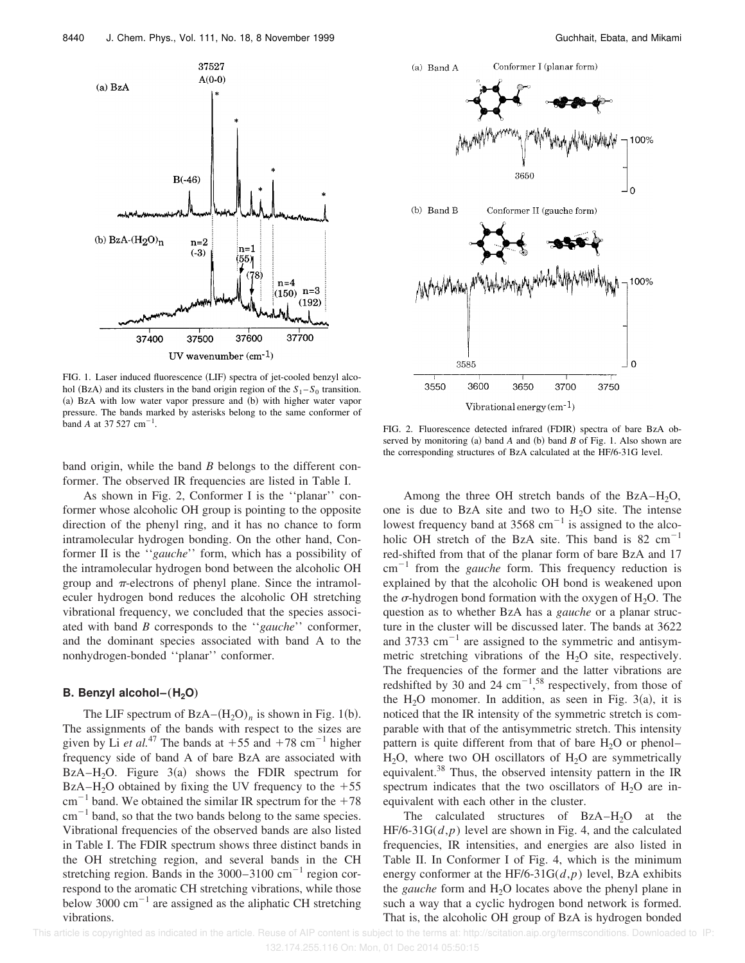FIG. 1. Laser induced fluorescence (LIF) spectra of jet-cooled benzyl alcohol (BzA) and its clusters in the band origin region of the  $S_1 - S_0$  transition. (a) BzA with low water vapor pressure and (b) with higher water vapor pressure. The bands marked by asterisks belong to the same conformer of  $\frac{1}{2}$  band *A* at 37 527 cm<sup>-1</sup>.

band origin, while the band *B* belongs to the different conformer. The observed IR frequencies are listed in Table I.

As shown in Fig. 2, Conformer I is the ''planar'' conformer whose alcoholic OH group is pointing to the opposite direction of the phenyl ring, and it has no chance to form intramolecular hydrogen bonding. On the other hand, Conformer II is the ''*gauche*'' form, which has a possibility of the intramolecular hydrogen bond between the alcoholic OH group and  $\pi$ -electrons of phenyl plane. Since the intramoleculer hydrogen bond reduces the alcoholic OH stretching vibrational frequency, we concluded that the species associated with band *B* corresponds to the ''*gauche*'' conformer, and the dominant species associated with band A to the nonhydrogen-bonded ''planar'' conformer.

#### **B. Benzyl alcohol–** $(H_2O)$

The LIF spectrum of  $BzA-(H_2O)_n$  is shown in Fig. 1(b). The assignments of the bands with respect to the sizes are given by Li *et al.*<sup>47</sup> The bands at  $+55$  and  $+78$  cm<sup>-1</sup> higher frequency side of band A of bare BzA are associated with BzA–H<sub>2</sub>O. Figure  $3(a)$  shows the FDIR spectrum for BzA–H<sub>2</sub>O obtained by fixing the UV frequency to the  $+55$  $cm^{-1}$  band. We obtained the similar IR spectrum for the +78  $\text{cm}^{-1}$  band, so that the two bands belong to the same species. Vibrational frequencies of the observed bands are also listed in Table I. The FDIR spectrum shows three distinct bands in the OH stretching region, and several bands in the CH stretching region. Bands in the  $3000-3100$  cm<sup>-1</sup> region correspond to the aromatic CH stretching vibrations, while those below 3000  $\text{cm}^{-1}$  are assigned as the aliphatic CH stretching vibrations.

FIG. 2. Fluorescence detected infrared (FDIR) spectra of bare BzA observed by monitoring  $(a)$  band  $A$  and  $(b)$  band  $B$  of Fig. 1. Also shown are the corresponding structures of BzA calculated at the HF/6-31G level.

Among the three OH stretch bands of the  $BzA-H<sub>2</sub>O$ , one is due to BzA site and two to  $H<sub>2</sub>O$  site. The intense lowest frequency band at  $3568 \text{ cm}^{-1}$  is assigned to the alcoholic OH stretch of the BzA site. This band is  $82 \text{ cm}^{-1}$ red-shifted from that of the planar form of bare BzA and 17  $cm^{-1}$  from the *gauche* form. This frequency reduction is explained by that the alcoholic OH bond is weakened upon the  $\sigma$ -hydrogen bond formation with the oxygen of H<sub>2</sub>O. The question as to whether BzA has a *gauche* or a planar structure in the cluster will be discussed later. The bands at 3622 and 3733  $\text{cm}^{-1}$  are assigned to the symmetric and antisymmetric stretching vibrations of the  $H_2O$  site, respectively. The frequencies of the former and the latter vibrations are redshifted by 30 and 24  $\text{cm}^{-1}$ ,<sup>58</sup> respectively, from those of the H<sub>2</sub>O monomer. In addition, as seen in Fig.  $3(a)$ , it is noticed that the IR intensity of the symmetric stretch is comparable with that of the antisymmetric stretch. This intensity pattern is quite different from that of bare  $H_2O$  or phenol–  $H<sub>2</sub>O$ , where two OH oscillators of  $H<sub>2</sub>O$  are symmetrically equivalent.<sup>38</sup> Thus, the observed intensity pattern in the IR spectrum indicates that the two oscillators of  $H<sub>2</sub>O$  are inequivalent with each other in the cluster.

The calculated structures of  $BzA-H_2O$  at the HF/6-31G(*d*,*p*) level are shown in Fig. 4, and the calculated frequencies, IR intensities, and energies are also listed in Table II. In Conformer I of Fig. 4, which is the minimum energy conformer at the HF/6-31G $(d, p)$  level, BzA exhibits the *gauche* form and H<sub>2</sub>O locates above the phenyl plane in such a way that a cyclic hydrogen bond network is formed. That is, the alcoholic OH group of BzA is hydrogen bonded



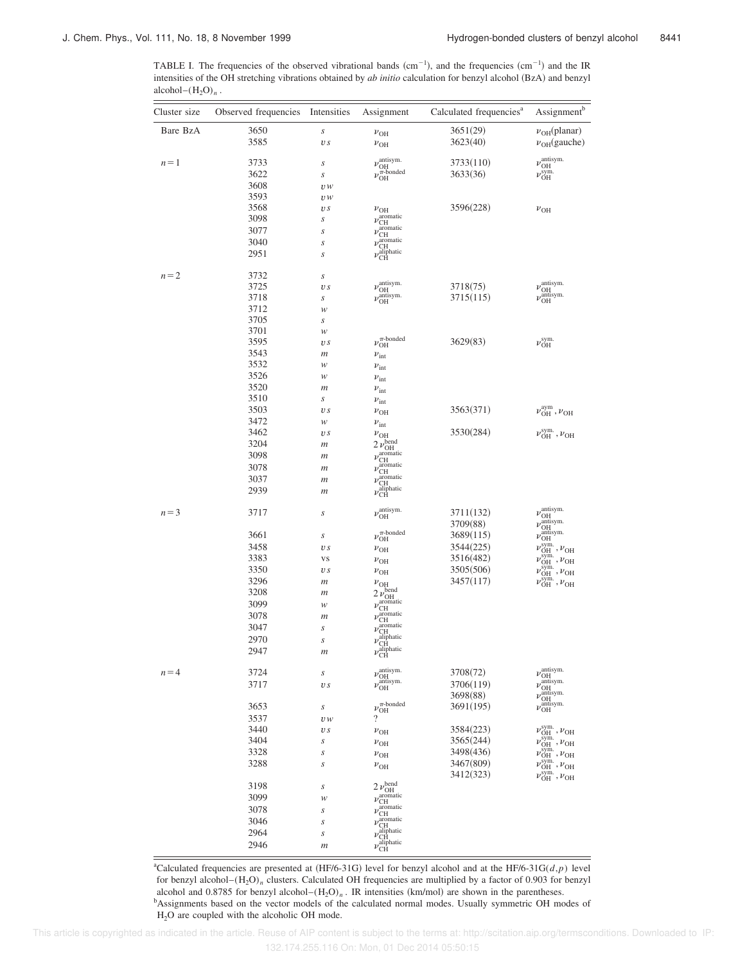TABLE I. The frequencies of the observed vibrational bands  $(cm^{-1})$ , and the frequencies  $(cm^{-1})$  and the IR intensities of the OH stretching vibrations obtained by *ab initio* calculation for benzyl alcohol (BzA) and benzyl alcohol– $(H_2O)_n$ .

| Cluster size | Observed frequencies Intensities |                     | Assignment                                                                 | Calculated frequencies <sup>a</sup> | Assignment <sup>b</sup>                                                                                    |
|--------------|----------------------------------|---------------------|----------------------------------------------------------------------------|-------------------------------------|------------------------------------------------------------------------------------------------------------|
| Bare BzA     | 3650                             | $\boldsymbol{S}$    | $v_{\text{OH}}$                                                            | 3651(29)                            | $\nu_{OH}$ (planar)                                                                                        |
|              | 3585                             | $\boldsymbol{v}\,s$ | $v_{\text{OH}}$                                                            | 3623(40)                            | $v_{OH}$ (gauche)                                                                                          |
| $n=1$        | 3733                             | S                   | $\nu_{\text{OH}}^{\text{antisym.}}$                                        | 3733(110)                           | $\nu_{\text{OH}}^{\text{antisym.}}$                                                                        |
|              | 3622                             | s                   | $\nu_{\mathrm{OH}}^{\widehat{\pi}\text{-}\mathrm{bonded}}$                 | 3633(36)                            | $\nu_{\text{OH}}^{\text{sym.}}$                                                                            |
|              | 3608                             | U W                 |                                                                            |                                     |                                                                                                            |
|              | 3593                             | U W                 |                                                                            |                                     |                                                                                                            |
|              | 3568                             | v s                 |                                                                            | 3596(228)                           |                                                                                                            |
|              | 3098                             | s                   | $\nu_{\text{OH}}$<br>$\nu_{\rm CH}^{\rm aromatic}$                         |                                     | $\nu_{\text{OH}}$                                                                                          |
|              | 3077                             |                     | $\nu_{\text{CH}}^{\text{aromatic}}$                                        |                                     |                                                                                                            |
|              | 3040                             | $\boldsymbol{S}$    |                                                                            |                                     |                                                                                                            |
|              | 2951                             | S<br>S              | $\nu_{\text{CH}}^{\text{aromatic}}$<br>$\nu_{\rm CH}^{\rm aliphatic}$      |                                     |                                                                                                            |
| $n = 2$      | 3732                             | S                   |                                                                            |                                     |                                                                                                            |
|              | 3725                             | $\boldsymbol{v}\,s$ | $\nu_{\text{OH}}^{\text{antisym.}}$                                        | 3718(75)                            | $\nu_{\text{OH}}^{\text{antisym.}}$                                                                        |
|              | 3718                             | s                   | $\nu_{\text{OH}}^{\text{antisym.}}$                                        | 3715(115)                           | $\nu_{\text{OH}}^{\text{antisym.}}$                                                                        |
|              | 3712                             | w                   |                                                                            |                                     |                                                                                                            |
|              | 3705                             |                     |                                                                            |                                     |                                                                                                            |
|              | 3701                             | s<br>w              |                                                                            |                                     |                                                                                                            |
|              | 3595                             |                     | $\nu_{\text{OH}}^{\pi\text{-bonded}}$                                      | 3629(83)                            | $\nu_{\rm OH}^{\rm sym.}$                                                                                  |
|              | 3543                             | $\overline{v}$ s    |                                                                            |                                     |                                                                                                            |
|              | 3532                             | $\boldsymbol{m}$    | $\nu$ <sub>int</sub>                                                       |                                     |                                                                                                            |
|              |                                  | w                   | $\nu$ <sub>int</sub>                                                       |                                     |                                                                                                            |
|              | 3526                             | w                   | $\nu$ <sub>int</sub>                                                       |                                     |                                                                                                            |
|              | 3520                             | m                   | $\nu$ <sub>int</sub>                                                       |                                     |                                                                                                            |
|              | 3510                             | s                   | $\nu$ <sub>int</sub>                                                       |                                     |                                                                                                            |
|              | 3503                             | $\boldsymbol{v}\,s$ | $v_{\text{OH}}$                                                            | 3563(371)                           | $\nu_{\text{OH}}^{\text{aym}}$ , $\nu_{\text{OH}}$                                                         |
|              | 3472                             | w                   | $\nu$ <sub>int</sub>                                                       |                                     |                                                                                                            |
|              | 3462                             | $\overline{v}$ s    | $\nu_{\text{OH}}$                                                          | 3530(284)                           | $\nu_{\text{OH}}^{\text{sym.}}$ , $\nu_{\text{OH}}$                                                        |
|              | 3204                             | $\boldsymbol{m}$    | $2 \nu_{\text{OH}}^{\text{bend}}$                                          |                                     |                                                                                                            |
|              | 3098                             | $\boldsymbol{m}$    | $\nu_{\text{CH}}^{\text{aromatic}}$<br>$\nu_{\text{CH}}^{\text{aromatic}}$ |                                     |                                                                                                            |
|              | 3078                             | m                   |                                                                            |                                     |                                                                                                            |
|              | 3037                             | $\boldsymbol{m}$    | $\nu_{\text{CH}}^{\text{aromatic}}$                                        |                                     |                                                                                                            |
|              | 2939                             | $\boldsymbol{m}$    | $\nu_{\rm CH}^{\rm aliphatic}$                                             |                                     |                                                                                                            |
| $n = 3$      | 3717                             | S                   | $\nu_{\rm OH}^{\rm antisym.}$                                              | 3711(132)                           | $\nu_{\text{OH}}^{\text{antisym.}}$                                                                        |
|              |                                  |                     |                                                                            |                                     |                                                                                                            |
|              |                                  |                     |                                                                            | 3709(88)                            | $\nu_{\text{OH}}^{\text{antisym.}}$<br>$\nu_{\text{OH}}^{\text{antisym.}}$                                 |
|              | 3661                             | s                   | $\nu_{\mathrm{OH}}^{\pi\text{-bonded}}$                                    | 3689(115)                           |                                                                                                            |
|              | 3458                             | v s                 | $\nu_{\text{OH}}$                                                          | 3544(225)                           | $\nu_{\text{OH}}^{\text{sym.}}$ , $\nu_{\text{OH}}$                                                        |
|              | 3383                             | VS                  | $\nu_{\text{OH}}$                                                          | 3516(482)                           | $\nu_{\text{OH}}^{\text{sym.}}$ , $\nu_{\text{OH}}$                                                        |
|              | 3350                             | v s                 | $\nu_{\text{OH}}$                                                          | 3505(506)                           | $\nu_{\text{OH}}^{\text{sym.}}$ , $\nu_{\text{OH}}$                                                        |
|              | 3296                             | $\boldsymbol{m}$    | $\nu_{\text{OH}}$                                                          | 3457(117)                           | $\nu_{\text{OH}}^{\text{sym.}}$ , $\nu_{\text{OH}}$                                                        |
|              | 3208                             | $\boldsymbol{m}$    |                                                                            |                                     |                                                                                                            |
|              | 3099                             | w                   | $2 \nu_{\text{OH}}^{\text{bend}}$<br>$\nu_{\text{CH}}^{\text{aromatic}}$   |                                     |                                                                                                            |
|              | 3078                             | $\boldsymbol{m}$    | $\nu_{\text{CH}}^{\text{aromatic}}$                                        |                                     |                                                                                                            |
|              | 3047                             | s                   | $\nu_{\text{CH}}^{\text{aromatic}}$                                        |                                     |                                                                                                            |
|              | 2970                             |                     | $\nu_{\text{CH}}^{\text{aliphatic}}$                                       |                                     |                                                                                                            |
|              |                                  | $\boldsymbol{S}$    |                                                                            |                                     |                                                                                                            |
|              | 2947                             | $\mathfrak{m}$      | $\nu_{\text{CH}}^{\text{aliphatic}}$                                       |                                     |                                                                                                            |
| $n = 4$      | 3724                             | $\boldsymbol{S}$    | $\nu_{\text{OH}\atop \nu_{\text{OH}}}^{\text{antisym.}}$                   | 3708(72)                            | $\nu_{\rm OH}^{\rm antisym.}$                                                                              |
|              | 3717                             | v s                 |                                                                            | 3706(119)                           | $\nu_{\text{OH}}^{\text{antisym.}}$                                                                        |
|              |                                  |                     |                                                                            | 3698(88)                            | $\nu_{\text{OH}}^{\text{antisym.}}$                                                                        |
|              | 3653                             | s                   | $\nu_{\mathrm{OH}}^{\pi\text{-bonded}}$                                    | 3691(195)                           | $\nu_{\text{OH}}^{\text{antisym.}}$                                                                        |
|              | 3537                             | U W                 | $\overline{\mathcal{L}}$                                                   |                                     |                                                                                                            |
|              | 3440                             | v s                 |                                                                            | 3584(223)                           | $\nu_{\text{OH}}^{\text{sym.}}$ , $\nu_{\text{OH}}$                                                        |
|              | 3404                             |                     | $v_{\text{OH}}$                                                            | 3565(244)                           | $\nu_{\text{OH}}^{\text{sym.}}$ , $\nu_{\text{OH}}$                                                        |
|              |                                  | s                   | $\nu_{\text{OH}}$                                                          |                                     |                                                                                                            |
|              | 3328                             | s                   | $\nu_{\text{OH}}$                                                          | 3498(436)                           | $\nu_{\text{OH}}^{\text{sym.}}$ , $\nu_{\text{OH}}$                                                        |
|              | 3288                             | s                   | $v_{\text{OH}}$                                                            | 3467(809)<br>3412(323)              | $\nu_{\text{OH}}^{\text{sym.}}$ , $\nu_{\text{OH}}$<br>$\nu_{\text{OH}}^{\text{sym.}}$ , $\nu_{\text{OH}}$ |
|              | 3198                             | s                   | $2 \nu_{\text{OH}}^{\text{bend}}$                                          |                                     |                                                                                                            |
|              | 3099                             | w                   | $\nu_{\text{CH}}^{\text{aromatic}}$                                        |                                     |                                                                                                            |
|              | 3078                             | s                   | $\nu_{\rm CH}^{\rm aromatic}$                                              |                                     |                                                                                                            |
|              | 3046                             |                     |                                                                            |                                     |                                                                                                            |
|              |                                  | s                   | $\nu_{\text{CH}}^{\text{aromatic}}$                                        |                                     |                                                                                                            |
|              | 2964                             | S                   | $\nu_{\text{CH}}$ <sup>aliphatic</sup>                                     |                                     |                                                                                                            |
|              | 2946                             | $\boldsymbol{m}$    | $\nu_{\text{CH}}^{\text{aliphatic}}$                                       |                                     |                                                                                                            |

<sup>a</sup>Calculated frequencies are presented at  $(HF/6-31G)$  level for benzyl alcohol and at the HF/6-31G( $d$ , $p$ ) level for benzyl alcohol–(H2O)*<sup>n</sup>* clusters. Calculated OH frequencies are multiplied by a factor of 0.903 for benzyl alcohol and 0.8785 for benzyl alcohol $-(H_2O)_n$ . IR intensities (km/mol) are shown in the parentheses. <sup>b</sup>Assignments based on the vector models of the calculated normal modes. Usually symmetric OH modes of H2O are coupled with the alcoholic OH mode.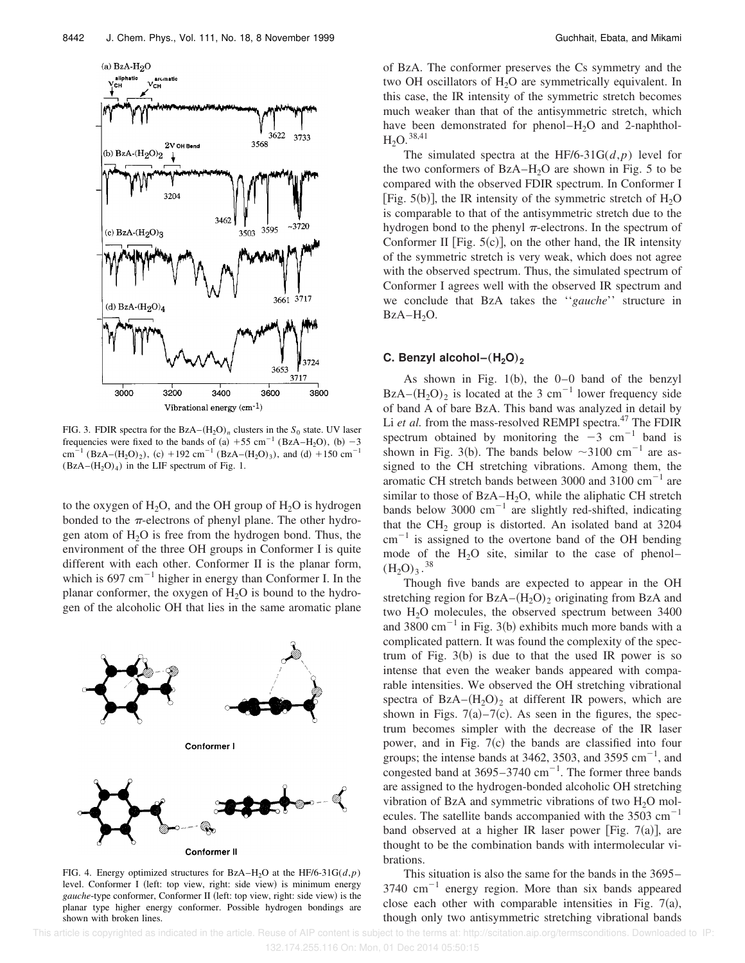

FIG. 3. FDIR spectra for the  $BzA-(H_2O)<sub>n</sub>$  clusters in the  $S<sub>0</sub>$  state. UV laser frequencies were fixed to the bands of (a) +55 cm<sup>-1</sup> (BzA–H<sub>2</sub>O), (b) -3 cm<sup>-1</sup> (BzA–(H<sub>2</sub>O)<sub>2</sub>), (c) +192 cm<sup>-1</sup> (BzA–(H<sub>2</sub>O)<sub>3</sub>), and (d) +150 cm<sup>-1</sup>  $(BzA-(H<sub>2</sub>O)<sub>4</sub>)$  in the LIF spectrum of Fig. 1.

to the oxygen of  $H_2O$ , and the OH group of  $H_2O$  is hydrogen bonded to the  $\pi$ -electrons of phenyl plane. The other hydrogen atom of  $H_2O$  is free from the hydrogen bond. Thus, the environment of the three OH groups in Conformer I is quite different with each other. Conformer II is the planar form, which is  $697 \text{ cm}^{-1}$  higher in energy than Conformer I. In the planar conformer, the oxygen of  $H_2O$  is bound to the hydrogen of the alcoholic OH that lies in the same aromatic plane



FIG. 4. Energy optimized structures for BzA–H<sub>2</sub>O at the HF/6-31G( $d$ , $p$ ) level. Conformer I (left: top view, right: side view) is minimum energy *gauche*-type conformer, Conformer II (left: top view, right: side view) is the planar type higher energy conformer. Possible hydrogen bondings are shown with broken lines.

of BzA. The conformer preserves the Cs symmetry and the two OH oscillators of H<sub>2</sub>O are symmetrically equivalent. In this case, the IR intensity of the symmetric stretch becomes much weaker than that of the antisymmetric stretch, which have been demonstrated for phenol– $H_2O$  and 2-naphthol- $H_2O.$ <sup>38,41</sup>

The simulated spectra at the HF/6-31G( $d$ , $p$ ) level for the two conformers of  $BzA-H<sub>2</sub>O$  are shown in Fig. 5 to be compared with the observed FDIR spectrum. In Conformer I [Fig. 5(b)], the IR intensity of the symmetric stretch of  $H_2O$ is comparable to that of the antisymmetric stretch due to the hydrogen bond to the phenyl  $\pi$ -electrons. In the spectrum of Conformer II [Fig.  $5(c)$ ], on the other hand, the IR intensity of the symmetric stretch is very weak, which does not agree with the observed spectrum. Thus, the simulated spectrum of Conformer I agrees well with the observed IR spectrum and we conclude that BzA takes the ''*gauche*'' structure in  $BzA-H_2O.$ 

## **C. Benzyl alcohol–**"**H2O**…**<sup>2</sup>**

As shown in Fig.  $1(b)$ , the  $0-0$  band of the benzyl BzA– $(H_2O)_2$  is located at the 3 cm<sup>-1</sup> lower frequency side of band A of bare BzA. This band was analyzed in detail by Li *et al.* from the mass-resolved REMPI spectra.<sup>47</sup> The FDIR spectrum obtained by monitoring the  $-3$  cm<sup>-1</sup> band is shown in Fig. 3(b). The bands below  $\sim$ 3100 cm<sup>-1</sup> are assigned to the CH stretching vibrations. Among them, the aromatic CH stretch bands between 3000 and  $3100 \text{ cm}^{-1}$  are similar to those of  $BzA-H_2O$ , while the aliphatic CH stretch bands below 3000  $\text{cm}^{-1}$  are slightly red-shifted, indicating that the  $CH<sub>2</sub>$  group is distorted. An isolated band at 3204  $\text{cm}^{-1}$  is assigned to the overtone band of the OH bending mode of the  $H_2O$  site, similar to the case of phenol–  $(H_2O)_3.^{38}$ 

Though five bands are expected to appear in the OH stretching region for  $BzA-(H_2O)_2$  originating from BzA and two  $H<sub>2</sub>O$  molecules, the observed spectrum between 3400 and  $3800 \text{ cm}^{-1}$  in Fig. 3(b) exhibits much more bands with a complicated pattern. It was found the complexity of the spectrum of Fig.  $3(b)$  is due to that the used IR power is so intense that even the weaker bands appeared with comparable intensities. We observed the OH stretching vibrational spectra of  $BzA-(H<sub>2</sub>O)<sub>2</sub>$  at different IR powers, which are shown in Figs.  $7(a) - 7(c)$ . As seen in the figures, the spectrum becomes simpler with the decrease of the IR laser power, and in Fig.  $7(c)$  the bands are classified into four groups; the intense bands at 3462, 3503, and 3595  $\text{cm}^{-1}$ , and congested band at  $3695-3740$  cm<sup>-1</sup>. The former three bands are assigned to the hydrogen-bonded alcoholic OH stretching vibration of BzA and symmetric vibrations of two  $H_2O$  molecules. The satellite bands accompanied with the  $3503 \text{ cm}^{-1}$ band observed at a higher IR laser power [Fig. 7(a)], are thought to be the combination bands with intermolecular vibrations.

This situation is also the same for the bands in the 3695–  $3740 \text{ cm}^{-1}$  energy region. More than six bands appeared close each other with comparable intensities in Fig.  $7(a)$ , though only two antisymmetric stretching vibrational bands

This article is copyrighted as indicated in the article. Reuse of AIP content is subject to the terms at: http://scitation.aip.org/termsconditions. Downloaded to IP:

132.174.255.116 On: Mon, 01 Dec 2014 05:50:15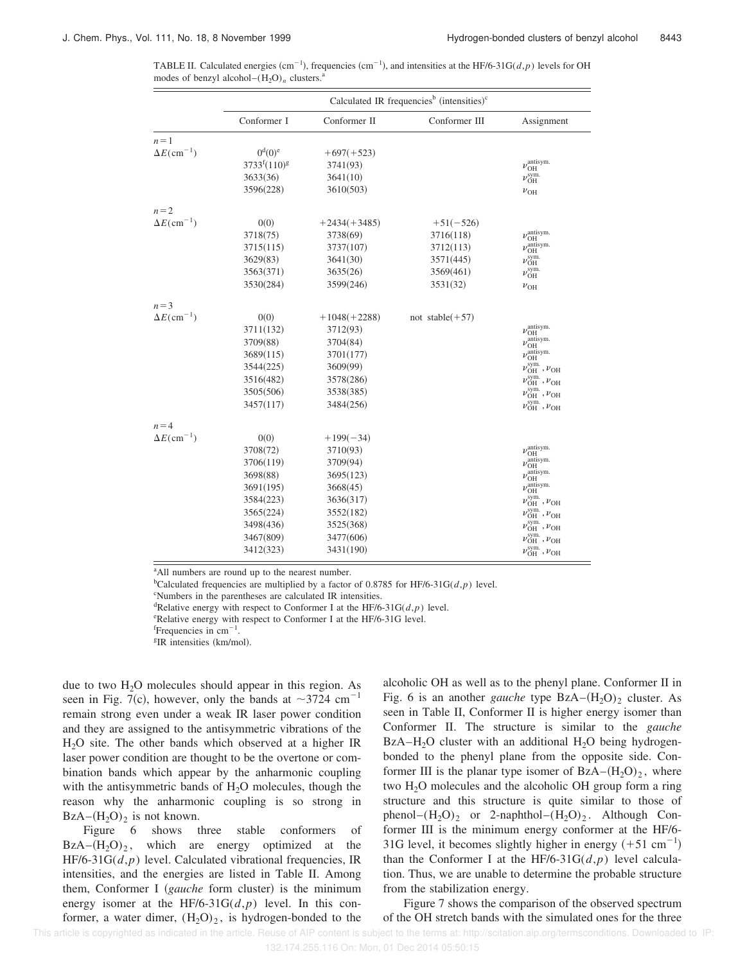TABLE II. Calculated energies  $(cm^{-1})$ , frequencies  $(cm^{-1})$ , and intensities at the HF/6-31G( $d$ , $p$ ) levels for OH modes of benzyl alcohol– $(H_2O)_n$  clusters.

|                                | Calculated IR frequencies <sup>b</sup> (intensities) <sup>c</sup> |                |                    |                                                     |  |  |
|--------------------------------|-------------------------------------------------------------------|----------------|--------------------|-----------------------------------------------------|--|--|
|                                | Conformer I                                                       | Conformer II   | Conformer III      | Assignment                                          |  |  |
| $n=1$                          |                                                                   |                |                    |                                                     |  |  |
| $\Delta E$ (cm <sup>-1</sup> ) | $0^{\mathrm{d}}(0)^{\mathrm{e}}$                                  | $+697(+523)$   |                    |                                                     |  |  |
|                                | $3733^{f}(110)^{g}$                                               | 3741(93)       |                    | $\nu_{\rm OH}^{\rm antisym.}$                       |  |  |
|                                | 3633(36)                                                          | 3641(10)       |                    | $\nu^{\rm sym.}_{\rm OH}$                           |  |  |
|                                | 3596(228)                                                         | 3610(503)      |                    | $\nu_{\text{OH}}$                                   |  |  |
| $n = 2$                        |                                                                   |                |                    |                                                     |  |  |
| $\Delta E$ (cm <sup>-1</sup> ) | 0(0)                                                              | $+2434(+3485)$ | $+51(-526)$        |                                                     |  |  |
|                                | 3718(75)                                                          | 3738(69)       | 3716(118)          | $\nu_{\rm OH}^{\rm antisym.}$                       |  |  |
|                                | 3715(115)                                                         | 3737(107)      | 3712(113)          | $\nu_{\text{OH}}^{\text{antisym.}}$                 |  |  |
|                                | 3629(83)                                                          | 3641(30)       | 3571(445)          | $\nu^{\rm sym.}_{\rm OH}$                           |  |  |
|                                | 3563(371)                                                         | 3635(26)       | 3569(461)          | $\nu_{\rm OH}^{\rm sym.}$                           |  |  |
|                                | 3530(284)                                                         | 3599(246)      | 3531(32)           | $v_{\text{OH}}$                                     |  |  |
| $n = 3$                        |                                                                   |                |                    |                                                     |  |  |
| $\Delta E$ (cm <sup>-1</sup> ) | 0(0)                                                              | $+1048(+2288)$ | not stable $(+57)$ |                                                     |  |  |
|                                | 3711(132)                                                         | 3712(93)       |                    | $\nu_{\rm OH}^{\rm antisym.}$                       |  |  |
|                                | 3709(88)                                                          | 3704(84)       |                    | $\nu_{\text{OH}}^{\text{antisym.}}$                 |  |  |
|                                | 3689(115)                                                         | 3701(177)      |                    | $\nu_{\text{OH}}^{\text{antisym.}}$                 |  |  |
|                                | 3544(225)                                                         | 3609(99)       |                    | $\nu_{\text{OH}}^{\text{sym.}}$ , $\nu_{\text{OH}}$ |  |  |
|                                | 3516(482)                                                         | 3578(286)      |                    | $\nu_{\text{OH}}^{\text{sym.}}$ , $\nu_{\text{OH}}$ |  |  |
|                                | 3505(506)                                                         | 3538(385)      |                    | $\nu_{\text{OH}}^{\text{sym.}}$ , $\nu_{\text{OH}}$ |  |  |
|                                | 3457(117)                                                         | 3484(256)      |                    | $\nu_{\text{OH}}^{\text{sym.}}$ , $\nu_{\text{OH}}$ |  |  |
| $n = 4$                        |                                                                   |                |                    |                                                     |  |  |
| $\Delta E$ (cm <sup>-1</sup> ) | 0(0)                                                              | $+199(-34)$    |                    |                                                     |  |  |
|                                | 3708(72)                                                          | 3710(93)       |                    | $\nu_{\alpha}^{\text{antisym.}}$<br>OH              |  |  |
|                                | 3706(119)                                                         | 3709(94)       |                    | $\nu_{\rm crit}$ antisym.<br>OH                     |  |  |
|                                | 3698(88)                                                          | 3695(123)      |                    | $\nu_{\text{OH}}^{\text{antisym.}}$                 |  |  |
|                                | 3691(195)                                                         | 3668(45)       |                    | $\nu_{\text{OH}}^{\text{antisym.}}$                 |  |  |
|                                | 3584(223)                                                         | 3636(317)      |                    | $\nu_{\text{OH}}^{\text{sym.}}$ , $\nu_{\text{OH}}$ |  |  |
|                                | 3565(224)                                                         | 3552(182)      |                    | $\nu_{\text{OH}}^{\text{sym.}}$ , $\nu_{\text{OH}}$ |  |  |
|                                | 3498(436)                                                         | 3525(368)      |                    | $\nu_{\text{OH}}^{\text{sym.}}$ , $\nu_{\text{OH}}$ |  |  |
|                                | 3467(809)                                                         | 3477(606)      |                    | $\nu_{\text{OH}}^{\text{sym.}}$ , $\nu_{\text{OH}}$ |  |  |
|                                | 3412(323)                                                         | 3431(190)      |                    | $\nu_{\text{OH}}^{\text{sym.}}$ , $\nu_{\text{OH}}$ |  |  |

<sup>a</sup>All numbers are round up to the nearest number.

<sup>b</sup>Calculated frequencies are multiplied by a factor of 0.8785 for HF/6-31G( $d$ , $p$ ) level.

<sup>c</sup>Numbers in the parentheses are calculated IR intensities.

<sup>d</sup>Relative energy with respect to Conformer I at the HF/6-31G( $d$ , $p$ ) level.

<sup>e</sup>Relative energy with respect to Conformer I at the HF/6-31G level.

 $f$ Frequencies in cm<sup>-1</sup>.

<sup>g</sup>IR intensities (km/mol).

due to two  $H<sub>2</sub>O$  molecules should appear in this region. As seen in Fig. 7(c), however, only the bands at  $\sim$ 3724 cm<sup>-1</sup> remain strong even under a weak IR laser power condition and they are assigned to the antisymmetric vibrations of the  $H<sub>2</sub>O$  site. The other bands which observed at a higher IR laser power condition are thought to be the overtone or combination bands which appear by the anharmonic coupling with the antisymmetric bands of  $H_2O$  molecules, though the reason why the anharmonic coupling is so strong in  $BzA-(H<sub>2</sub>O)<sub>2</sub>$  is not known.

Figure 6 shows three stable conformers of  $BzA-(H_2O)_2$ , which are energy optimized at the HF/6-31G(*d*,*p*) level. Calculated vibrational frequencies, IR intensities, and the energies are listed in Table II. Among them, Conformer I (*gauche* form cluster) is the minimum energy isomer at the HF/6-31G $(d, p)$  level. In this conformer, a water dimer,  $(H_2O)_2$ , is hydrogen-bonded to the alcoholic OH as well as to the phenyl plane. Conformer II in Fig. 6 is an another *gauche* type  $BzA-(H<sub>2</sub>O)<sub>2</sub>$  cluster. As seen in Table II, Conformer II is higher energy isomer than Conformer II. The structure is similar to the *gauche* BzA–H<sub>2</sub>O cluster with an additional H<sub>2</sub>O being hydrogenbonded to the phenyl plane from the opposite side. Conformer III is the planar type isomer of  $BzA-(H_2O)_2$ , where two  $H<sub>2</sub>O$  molecules and the alcoholic OH group form a ring structure and this structure is quite similar to those of phenol– $(H_2O)_2$  or 2-naphthol– $(H_2O)_2$ . Although Conformer III is the minimum energy conformer at the HF/6- 31G level, it becomes slightly higher in energy  $(+51 \text{ cm}^{-1})$ than the Conformer I at the HF/6-31 $G(d, p)$  level calculation. Thus, we are unable to determine the probable structure from the stabilization energy.

Figure 7 shows the comparison of the observed spectrum of the OH stretch bands with the simulated ones for the three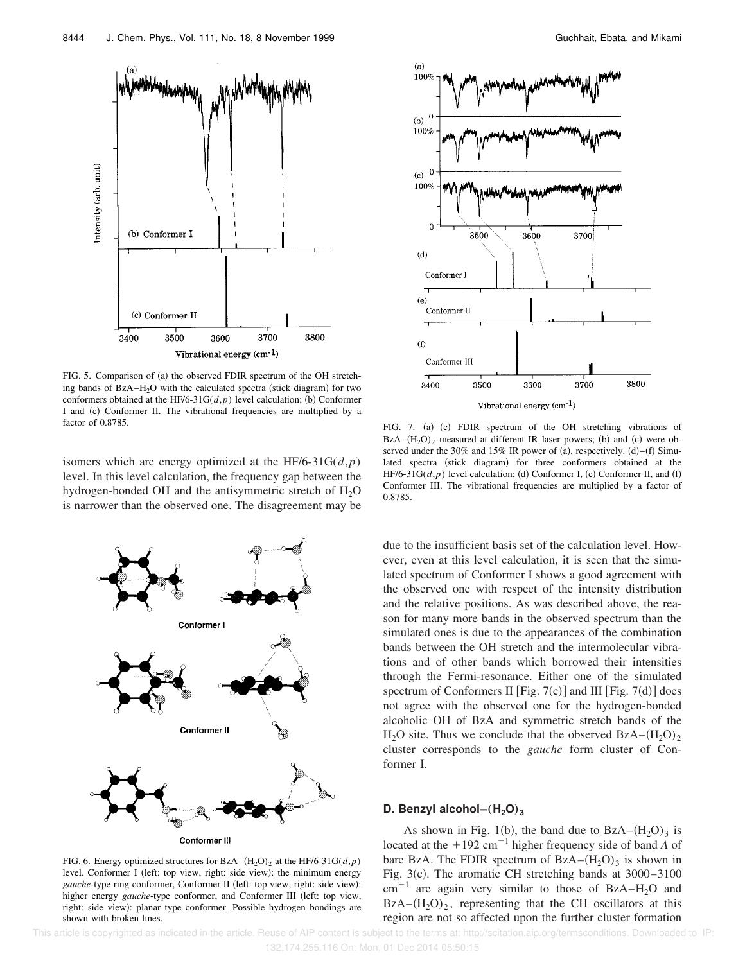

FIG. 5. Comparison of (a) the observed FDIR spectrum of the OH stretching bands of  $BzA-H_2O$  with the calculated spectra (stick diagram) for two conformers obtained at the HF/6-31G( $d$ , $p$ ) level calculation; (b) Conformer I and (c) Conformer II. The vibrational frequencies are multiplied by a factor of 0.8785.

isomers which are energy optimized at the HF/6-31G(*d*,*p*) level. In this level calculation, the frequency gap between the hydrogen-bonded OH and the antisymmetric stretch of  $H_2O$ is narrower than the observed one. The disagreement may be



FIG. 6. Energy optimized structures for  $BzA-(H_2O)_2$  at the HF/6-31G( $d$ , $p$ ) level. Conformer I (left: top view, right: side view): the minimum energy *gauche*-type ring conformer, Conformer II (left: top view, right: side view): higher energy *gauche*-type conformer, and Conformer III (left: top view, right: side view): planar type conformer. Possible hydrogen bondings are shown with broken lines.



FIG. 7.  $(a)$ – $(c)$  FDIR spectrum of the OH stretching vibrations of  $BzA-(H<sub>2</sub>O)<sub>2</sub>$  measured at different IR laser powers; (b) and (c) were observed under the 30% and 15% IR power of (a), respectively.  $(d)$ – $(f)$  Simulated spectra (stick diagram) for three conformers obtained at the HF/6-31G( $d$ , $p$ ) level calculation; (d) Conformer I, (e) Conformer II, and (f) Conformer III. The vibrational frequencies are multiplied by a factor of 0.8785.

due to the insufficient basis set of the calculation level. However, even at this level calculation, it is seen that the simulated spectrum of Conformer I shows a good agreement with the observed one with respect of the intensity distribution and the relative positions. As was described above, the reason for many more bands in the observed spectrum than the simulated ones is due to the appearances of the combination bands between the OH stretch and the intermolecular vibrations and of other bands which borrowed their intensities through the Fermi-resonance. Either one of the simulated spectrum of Conformers II [Fig. 7(c)] and III [Fig. 7(d)] does not agree with the observed one for the hydrogen-bonded alcoholic OH of BzA and symmetric stretch bands of the  $H_2O$  site. Thus we conclude that the observed  $BzA-(H_2O)_2$ cluster corresponds to the *gauche* form cluster of Conformer I.

## **D. Benzyl alcohol–** $(H_2O)_3$

As shown in Fig. 1(b), the band due to  $BzA-(H<sub>2</sub>O)<sub>3</sub>$  is located at the  $+192 \text{ cm}^{-1}$  higher frequency side of band *A* of bare BzA. The FDIR spectrum of  $BzA-(H_2O)_3$  is shown in Fig. 3(c). The aromatic CH stretching bands at  $3000-3100$  $cm^{-1}$  are again very similar to those of BzA–H<sub>2</sub>O and  $BzA-(H<sub>2</sub>O)<sub>2</sub>$ , representing that the CH oscillators at this region are not so affected upon the further cluster formation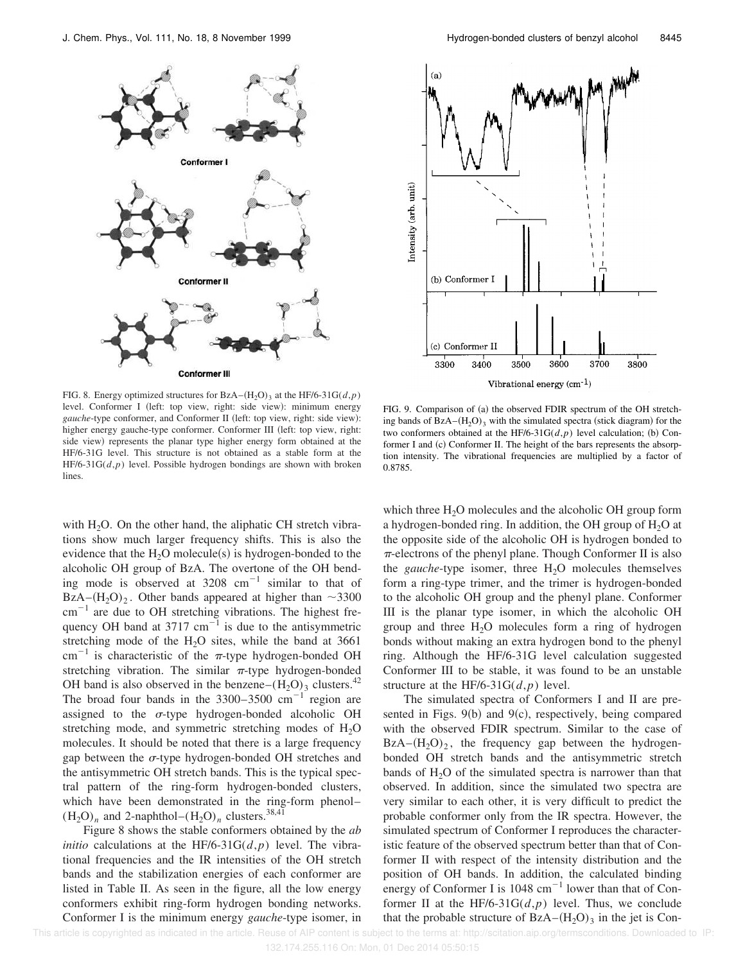

FIG. 8. Energy optimized structures for BzA– $(H_2O)_3$  at the HF/6-31G( $d$ , $p$ ) level. Conformer I (left: top view, right: side view): minimum energy *gauche*-type conformer, and Conformer II (left: top view, right: side view): higher energy gauche-type conformer. Conformer III (left: top view, right: side view) represents the planar type higher energy form obtained at the HF/6-31G level. This structure is not obtained as a stable form at the HF/6-31G(*d*,*p*) level. Possible hydrogen bondings are shown with broken lines.

with  $H_2O$ . On the other hand, the aliphatic CH stretch vibrations show much larger frequency shifts. This is also the evidence that the  $H_2O$  molecule(s) is hydrogen-bonded to the alcoholic OH group of BzA. The overtone of the OH bending mode is observed at  $3208 \text{ cm}^{-1}$  similar to that of BzA– $(H_2O)_2$ . Other bands appeared at higher than  $\sim$ 3300  $\text{cm}^{-1}$  are due to OH stretching vibrations. The highest frequency OH band at 3717  $cm^{-1}$  is due to the antisymmetric stretching mode of the  $H_2O$  sites, while the band at 3661 cm<sup>-1</sup> is characteristic of the  $\pi$ -type hydrogen-bonded OH stretching vibration. The similar  $\pi$ -type hydrogen-bonded OH band is also observed in the benzene– $(H_2O)_3$  clusters.<sup>42</sup> The broad four bands in the  $3300-3500 \text{ cm}^{-1}$  region are assigned to the  $\sigma$ -type hydrogen-bonded alcoholic OH stretching mode, and symmetric stretching modes of  $H_2O$ molecules. It should be noted that there is a large frequency gap between the  $\sigma$ -type hydrogen-bonded OH stretches and the antisymmetric OH stretch bands. This is the typical spectral pattern of the ring-form hydrogen-bonded clusters, which have been demonstrated in the ring-form phenol–  $(H_2O)_n$  and 2-naphthol– $(H_2O)_n$  clusters.<sup>38,41</sup>

Figure 8 shows the stable conformers obtained by the *ab initio* calculations at the HF/6-31G( $d$ , $p$ ) level. The vibrational frequencies and the IR intensities of the OH stretch bands and the stabilization energies of each conformer are listed in Table II. As seen in the figure, all the low energy conformers exhibit ring-form hydrogen bonding networks. Conformer I is the minimum energy *gauche*-type isomer, in



FIG. 9. Comparison of (a) the observed FDIR spectrum of the OH stretching bands of  $BzA-(H<sub>2</sub>O)<sub>3</sub>$  with the simulated spectra (stick diagram) for the two conformers obtained at the HF/6-31G( $d$ , $p$ ) level calculation; (b) Conformer I and (c) Conformer II. The height of the bars represents the absorption intensity. The vibrational frequencies are multiplied by a factor of 0.8785.

which three  $H_2O$  molecules and the alcoholic OH group form a hydrogen-bonded ring. In addition, the OH group of  $H_2O$  at the opposite side of the alcoholic OH is hydrogen bonded to  $\pi$ -electrons of the phenyl plane. Though Conformer II is also the *gauche*-type isomer, three  $H_2O$  molecules themselves form a ring-type trimer, and the trimer is hydrogen-bonded to the alcoholic OH group and the phenyl plane. Conformer III is the planar type isomer, in which the alcoholic OH group and three  $H_2O$  molecules form a ring of hydrogen bonds without making an extra hydrogen bond to the phenyl ring. Although the HF/6-31G level calculation suggested Conformer III to be stable, it was found to be an unstable structure at the HF/6-31G(*d*,*p*) level.

The simulated spectra of Conformers I and II are presented in Figs.  $9(b)$  and  $9(c)$ , respectively, being compared with the observed FDIR spectrum. Similar to the case of  $BzA-(H<sub>2</sub>O)<sub>2</sub>$ , the frequency gap between the hydrogenbonded OH stretch bands and the antisymmetric stretch bands of  $H_2O$  of the simulated spectra is narrower than that observed. In addition, since the simulated two spectra are very similar to each other, it is very difficult to predict the probable conformer only from the IR spectra. However, the simulated spectrum of Conformer I reproduces the characteristic feature of the observed spectrum better than that of Conformer II with respect of the intensity distribution and the position of OH bands. In addition, the calculated binding energy of Conformer I is 1048  $\text{cm}^{-1}$  lower than that of Conformer II at the HF/6-31G $(d, p)$  level. Thus, we conclude that the probable structure of  $BzA-(H_2O)_3$  in the jet is Con-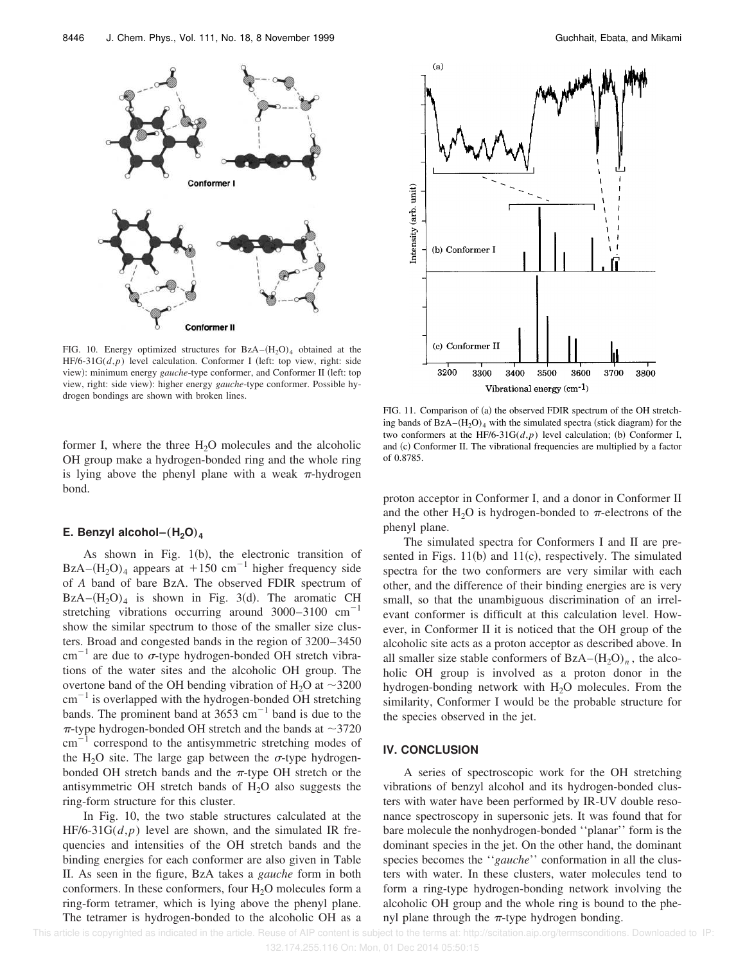

FIG. 10. Energy optimized structures for  $BzA-(H<sub>2</sub>O)<sub>4</sub>$  obtained at the HF/6-31 $G(d,p)$  level calculation. Conformer I (left: top view, right: side view): minimum energy *gauche*-type conformer, and Conformer II (left: top view, right: side view): higher energy *gauche*-type conformer. Possible hydrogen bondings are shown with broken lines.

former I, where the three  $H_2O$  molecules and the alcoholic OH group make a hydrogen-bonded ring and the whole ring is lying above the phenyl plane with a weak  $\pi$ -hydrogen bond.

## **E.** Benzyl alcohol– $(H_2O)_4$

As shown in Fig.  $1(b)$ , the electronic transition of BzA– $(H_2O)_4$  appears at +150 cm<sup>-1</sup> higher frequency side of *A* band of bare BzA. The observed FDIR spectrum of  $BzA-(H<sub>2</sub>O)<sub>4</sub>$  is shown in Fig. 3(d). The aromatic CH stretching vibrations occurring around  $3000-3100$  cm<sup>-1</sup> show the similar spectrum to those of the smaller size clusters. Broad and congested bands in the region of 3200–3450 cm<sup>-1</sup> are due to  $\sigma$ -type hydrogen-bonded OH stretch vibrations of the water sites and the alcoholic OH group. The overtone band of the OH bending vibration of H<sub>2</sub>O at  $\sim$ 3200  $cm^{-1}$  is overlapped with the hydrogen-bonded OH stretching bands. The prominent band at  $3653 \text{ cm}^{-1}$  band is due to the  $\pi$ -type hydrogen-bonded OH stretch and the bands at  $\sim$ 3720  $\text{cm}^{-1}$  correspond to the antisymmetric stretching modes of the H<sub>2</sub>O site. The large gap between the  $\sigma$ -type hydrogenbonded OH stretch bands and the  $\pi$ -type OH stretch or the antisymmetric OH stretch bands of  $H_2O$  also suggests the ring-form structure for this cluster.

In Fig. 10, the two stable structures calculated at the  $HF/6-31G(d,p)$  level are shown, and the simulated IR frequencies and intensities of the OH stretch bands and the binding energies for each conformer are also given in Table II. As seen in the figure, BzA takes a *gauche* form in both conformers. In these conformers, four  $H_2O$  molecules form a ring-form tetramer, which is lying above the phenyl plane. The tetramer is hydrogen-bonded to the alcoholic OH as a



FIG. 11. Comparison of (a) the observed FDIR spectrum of the OH stretching bands of  $BzA-(H<sub>2</sub>O)<sub>4</sub>$  with the simulated spectra (stick diagram) for the two conformers at the HF/6-31G( $d$ , $p$ ) level calculation; (b) Conformer I, and (c) Conformer II. The vibrational frequencies are multiplied by a factor of 0.8785.

proton acceptor in Conformer I, and a donor in Conformer II and the other H<sub>2</sub>O is hydrogen-bonded to  $\pi$ -electrons of the phenyl plane.

The simulated spectra for Conformers I and II are presented in Figs.  $11(b)$  and  $11(c)$ , respectively. The simulated spectra for the two conformers are very similar with each other, and the difference of their binding energies are is very small, so that the unambiguous discrimination of an irrelevant conformer is difficult at this calculation level. However, in Conformer II it is noticed that the OH group of the alcoholic site acts as a proton acceptor as described above. In all smaller size stable conformers of  $BzA-(H_2O)_n$ , the alcoholic OH group is involved as a proton donor in the hydrogen-bonding network with  $H_2O$  molecules. From the similarity, Conformer I would be the probable structure for the species observed in the jet.

#### **IV. CONCLUSION**

A series of spectroscopic work for the OH stretching vibrations of benzyl alcohol and its hydrogen-bonded clusters with water have been performed by IR-UV double resonance spectroscopy in supersonic jets. It was found that for bare molecule the nonhydrogen-bonded ''planar'' form is the dominant species in the jet. On the other hand, the dominant species becomes the ''*gauche*'' conformation in all the clusters with water. In these clusters, water molecules tend to form a ring-type hydrogen-bonding network involving the alcoholic OH group and the whole ring is bound to the phenyl plane through the  $\pi$ -type hydrogen bonding.